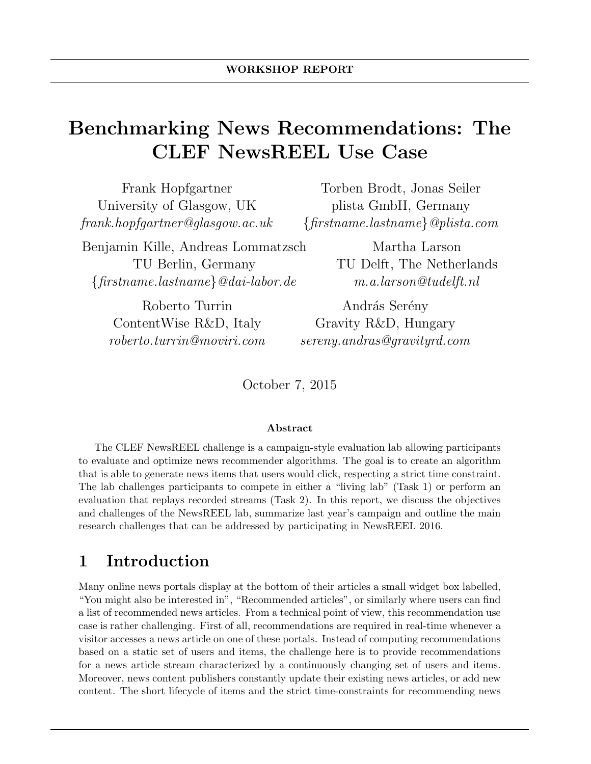# Benchmarking News Recommendations: The CLEF NewsREEL Use Case

| Frank Hopfgartner                       | Torben Brodt, Jonas Seiler              |
|-----------------------------------------|-----------------------------------------|
| University of Glasgow, UK               | plista GmbH, Germany                    |
| ${\it frank.hopfgartner@glasgow.ac.uk}$ | $\{first name. last name\} @plista.com$ |
| Benjamin Kille, Andreas Lommatzsch      | Martha Larson                           |

TU Berlin, Germany  $\{first name. last name\}$ @dai-labor.de

Martha Larson TU Delft, The Netherlands m.a.larson@tudelft.nl

Roberto Turrin ContentWise R&D, Italy roberto.turrin@moviri.com

András Serény Gravity R&D, Hungary sereny.andras@gravityrd.com

October 7, 2015

#### Abstract

The CLEF NewsREEL challenge is a campaign-style evaluation lab allowing participants to evaluate and optimize news recommender algorithms. The goal is to create an algorithm that is able to generate news items that users would click, respecting a strict time constraint. The lab challenges participants to compete in either a "living lab" (Task 1) or perform an evaluation that replays recorded streams (Task 2). In this report, we discuss the objectives and challenges of the NewsREEL lab, summarize last year's campaign and outline the main research challenges that can be addressed by participating in NewsREEL 2016.

## 1 Introduction

Many online news portals display at the bottom of their articles a small widget box labelled, "You might also be interested in", "Recommended articles", or similarly where users can find a list of recommended news articles. From a technical point of view, this recommendation use case is rather challenging. First of all, recommendations are required in real-time whenever a visitor accesses a news article on one of these portals. Instead of computing recommendations based on a static set of users and items, the challenge here is to provide recommendations for a news article stream characterized by a continuously changing set of users and items. Moreover, news content publishers constantly update their existing news articles, or add new content. The short lifecycle of items and the strict time-constraints for recommending news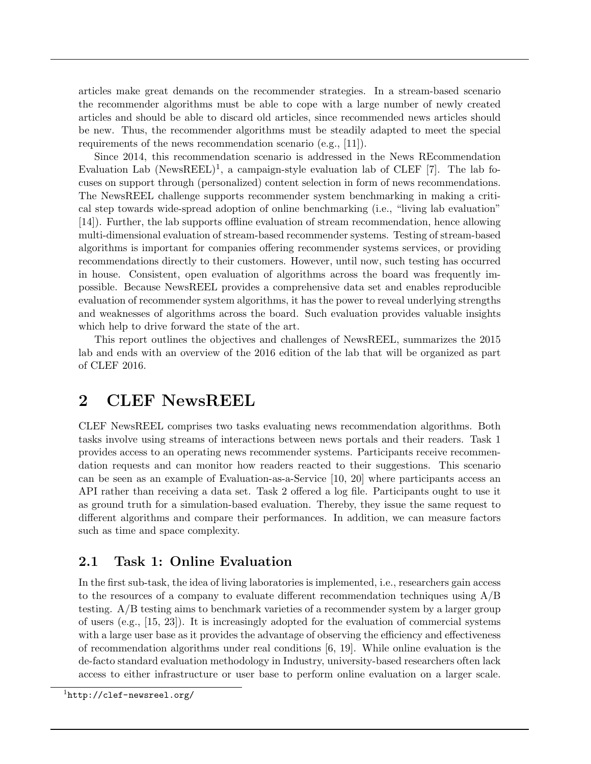articles make great demands on the recommender strategies. In a stream-based scenario the recommender algorithms must be able to cope with a large number of newly created articles and should be able to discard old articles, since recommended news articles should be new. Thus, the recommender algorithms must be steadily adapted to meet the special requirements of the news recommendation scenario (e.g., [11]).

Since 2014, this recommendation scenario is addressed in the News REcommendation Evaluation Lab (NewsREEL)<sup>1</sup>, a campaign-style evaluation lab of CLEF [7]. The lab focuses on support through (personalized) content selection in form of news recommendations. The NewsREEL challenge supports recommender system benchmarking in making a critical step towards wide-spread adoption of online benchmarking (i.e., "living lab evaluation" [14]). Further, the lab supports offline evaluation of stream recommendation, hence allowing multi-dimensional evaluation of stream-based recommender systems. Testing of stream-based algorithms is important for companies offering recommender systems services, or providing recommendations directly to their customers. However, until now, such testing has occurred in house. Consistent, open evaluation of algorithms across the board was frequently impossible. Because NewsREEL provides a comprehensive data set and enables reproducible evaluation of recommender system algorithms, it has the power to reveal underlying strengths and weaknesses of algorithms across the board. Such evaluation provides valuable insights which help to drive forward the state of the art.

This report outlines the objectives and challenges of NewsREEL, summarizes the 2015 lab and ends with an overview of the 2016 edition of the lab that will be organized as part of CLEF 2016.

## 2 CLEF NewsREEL

CLEF NewsREEL comprises two tasks evaluating news recommendation algorithms. Both tasks involve using streams of interactions between news portals and their readers. Task 1 provides access to an operating news recommender systems. Participants receive recommendation requests and can monitor how readers reacted to their suggestions. This scenario can be seen as an example of Evaluation-as-a-Service [10, 20] where participants access an API rather than receiving a data set. Task 2 offered a log file. Participants ought to use it as ground truth for a simulation-based evaluation. Thereby, they issue the same request to different algorithms and compare their performances. In addition, we can measure factors such as time and space complexity.

#### 2.1 Task 1: Online Evaluation

In the first sub-task, the idea of living laboratories is implemented, i.e., researchers gain access to the resources of a company to evaluate different recommendation techniques using A/B testing. A/B testing aims to benchmark varieties of a recommender system by a larger group of users (e.g., [15, 23]). It is increasingly adopted for the evaluation of commercial systems with a large user base as it provides the advantage of observing the efficiency and effectiveness of recommendation algorithms under real conditions [6, 19]. While online evaluation is the de-facto standard evaluation methodology in Industry, university-based researchers often lack access to either infrastructure or user base to perform online evaluation on a larger scale.

<sup>1</sup>http://clef-newsreel.org/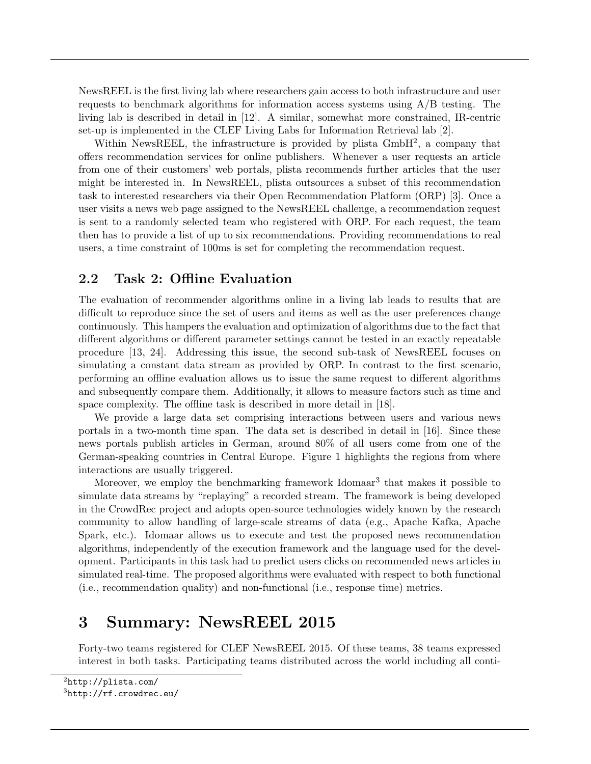NewsREEL is the first living lab where researchers gain access to both infrastructure and user requests to benchmark algorithms for information access systems using  $A/B$  testing. The living lab is described in detail in [12]. A similar, somewhat more constrained, IR-centric set-up is implemented in the CLEF Living Labs for Information Retrieval lab [2].

Within NewsREEL, the infrastructure is provided by plista GmbH<sup>2</sup>, a company that offers recommendation services for online publishers. Whenever a user requests an article from one of their customers' web portals, plista recommends further articles that the user might be interested in. In NewsREEL, plista outsources a subset of this recommendation task to interested researchers via their Open Recommendation Platform (ORP) [3]. Once a user visits a news web page assigned to the NewsREEL challenge, a recommendation request is sent to a randomly selected team who registered with ORP. For each request, the team then has to provide a list of up to six recommendations. Providing recommendations to real users, a time constraint of 100ms is set for completing the recommendation request.

#### 2.2 Task 2: Offline Evaluation

The evaluation of recommender algorithms online in a living lab leads to results that are difficult to reproduce since the set of users and items as well as the user preferences change continuously. This hampers the evaluation and optimization of algorithms due to the fact that different algorithms or different parameter settings cannot be tested in an exactly repeatable procedure [13, 24]. Addressing this issue, the second sub-task of NewsREEL focuses on simulating a constant data stream as provided by ORP. In contrast to the first scenario, performing an offline evaluation allows us to issue the same request to different algorithms and subsequently compare them. Additionally, it allows to measure factors such as time and space complexity. The offline task is described in more detail in [18].

We provide a large data set comprising interactions between users and various news portals in a two-month time span. The data set is described in detail in [16]. Since these news portals publish articles in German, around 80% of all users come from one of the German-speaking countries in Central Europe. Figure 1 highlights the regions from where interactions are usually triggered.

Moreover, we employ the benchmarking framework Idomaar<sup>3</sup> that makes it possible to simulate data streams by "replaying" a recorded stream. The framework is being developed in the CrowdRec project and adopts open-source technologies widely known by the research community to allow handling of large-scale streams of data (e.g., Apache Kafka, Apache Spark, etc.). Idomaar allows us to execute and test the proposed news recommendation algorithms, independently of the execution framework and the language used for the development. Participants in this task had to predict users clicks on recommended news articles in simulated real-time. The proposed algorithms were evaluated with respect to both functional (i.e., recommendation quality) and non-functional (i.e., response time) metrics.

## 3 Summary: NewsREEL 2015

Forty-two teams registered for CLEF NewsREEL 2015. Of these teams, 38 teams expressed interest in both tasks. Participating teams distributed across the world including all conti-

 $3$ http://rf.crowdrec.eu/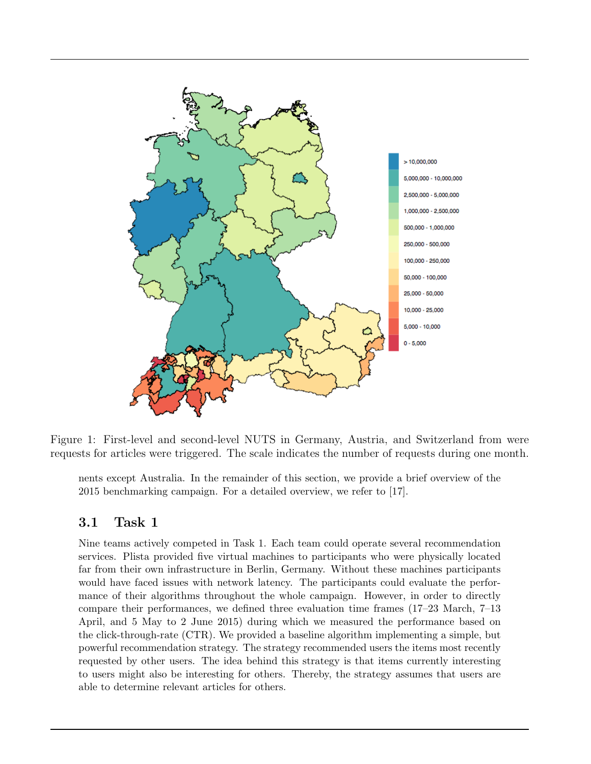

Figure 1: First-level and second-level NUTS in Germany, Austria, and Switzerland from were requests for articles were triggered. The scale indicates the number of requests during one month.

nents except Australia. In the remainder of this section, we provide a brief overview of the 2015 benchmarking campaign. For a detailed overview, we refer to [17].

#### 3.1 Task 1

Nine teams actively competed in Task 1. Each team could operate several recommendation services. Plista provided five virtual machines to participants who were physically located far from their own infrastructure in Berlin, Germany. Without these machines participants would have faced issues with network latency. The participants could evaluate the performance of their algorithms throughout the whole campaign. However, in order to directly compare their performances, we defined three evaluation time frames (17–23 March, 7–13 April, and 5 May to 2 June 2015) during which we measured the performance based on the click-through-rate (CTR). We provided a baseline algorithm implementing a simple, but powerful recommendation strategy. The strategy recommended users the items most recently requested by other users. The idea behind this strategy is that items currently interesting to users might also be interesting for others. Thereby, the strategy assumes that users are able to determine relevant articles for others.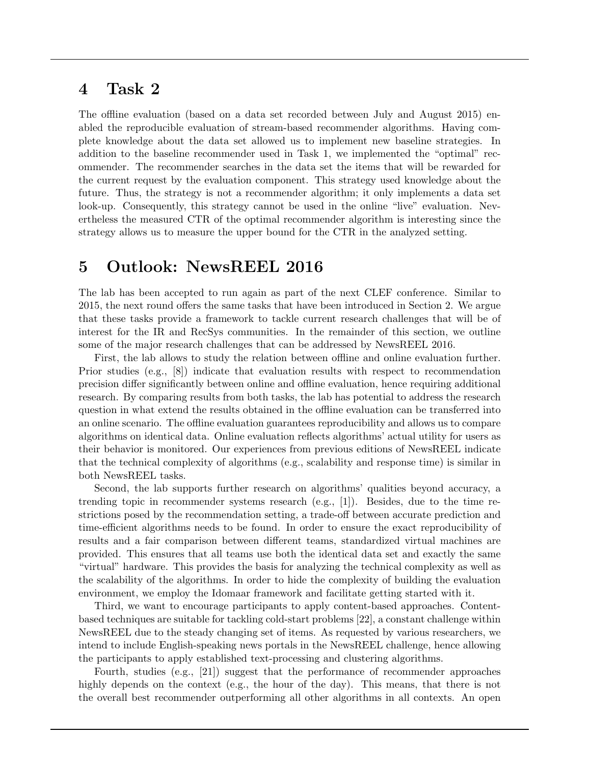## 4 Task 2

The offline evaluation (based on a data set recorded between July and August 2015) enabled the reproducible evaluation of stream-based recommender algorithms. Having complete knowledge about the data set allowed us to implement new baseline strategies. In addition to the baseline recommender used in Task 1, we implemented the "optimal" recommender. The recommender searches in the data set the items that will be rewarded for the current request by the evaluation component. This strategy used knowledge about the future. Thus, the strategy is not a recommender algorithm; it only implements a data set look-up. Consequently, this strategy cannot be used in the online "live" evaluation. Nevertheless the measured CTR of the optimal recommender algorithm is interesting since the strategy allows us to measure the upper bound for the CTR in the analyzed setting.

## 5 Outlook: NewsREEL 2016

The lab has been accepted to run again as part of the next CLEF conference. Similar to 2015, the next round offers the same tasks that have been introduced in Section 2. We argue that these tasks provide a framework to tackle current research challenges that will be of interest for the IR and RecSys communities. In the remainder of this section, we outline some of the major research challenges that can be addressed by NewsREEL 2016.

First, the lab allows to study the relation between offline and online evaluation further. Prior studies (e.g., [8]) indicate that evaluation results with respect to recommendation precision differ significantly between online and offline evaluation, hence requiring additional research. By comparing results from both tasks, the lab has potential to address the research question in what extend the results obtained in the offline evaluation can be transferred into an online scenario. The offline evaluation guarantees reproducibility and allows us to compare algorithms on identical data. Online evaluation reflects algorithms' actual utility for users as their behavior is monitored. Our experiences from previous editions of NewsREEL indicate that the technical complexity of algorithms (e.g., scalability and response time) is similar in both NewsREEL tasks.

Second, the lab supports further research on algorithms' qualities beyond accuracy, a trending topic in recommender systems research (e.g., [1]). Besides, due to the time restrictions posed by the recommendation setting, a trade-off between accurate prediction and time-efficient algorithms needs to be found. In order to ensure the exact reproducibility of results and a fair comparison between different teams, standardized virtual machines are provided. This ensures that all teams use both the identical data set and exactly the same "virtual" hardware. This provides the basis for analyzing the technical complexity as well as the scalability of the algorithms. In order to hide the complexity of building the evaluation environment, we employ the Idomaar framework and facilitate getting started with it.

Third, we want to encourage participants to apply content-based approaches. Contentbased techniques are suitable for tackling cold-start problems [22], a constant challenge within NewsREEL due to the steady changing set of items. As requested by various researchers, we intend to include English-speaking news portals in the NewsREEL challenge, hence allowing the participants to apply established text-processing and clustering algorithms.

Fourth, studies (e.g., [21]) suggest that the performance of recommender approaches highly depends on the context (e.g., the hour of the day). This means, that there is not the overall best recommender outperforming all other algorithms in all contexts. An open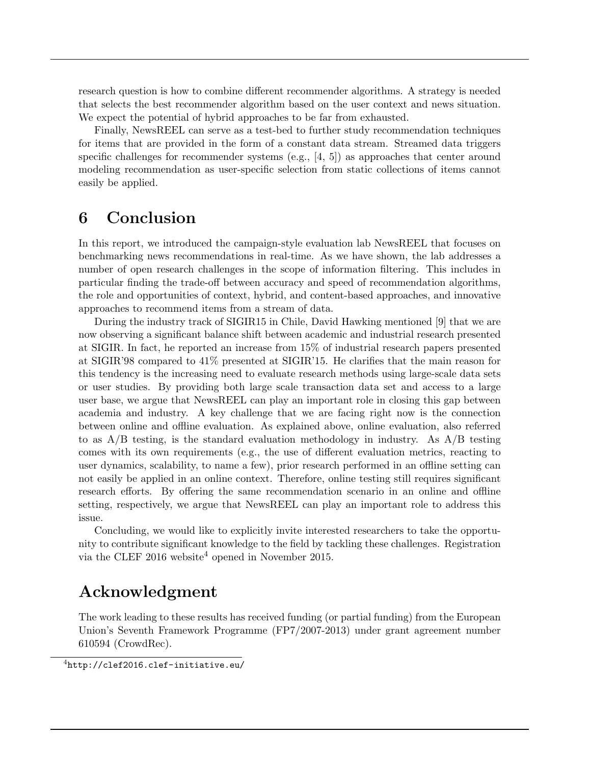research question is how to combine different recommender algorithms. A strategy is needed that selects the best recommender algorithm based on the user context and news situation. We expect the potential of hybrid approaches to be far from exhausted.

Finally, NewsREEL can serve as a test-bed to further study recommendation techniques for items that are provided in the form of a constant data stream. Streamed data triggers specific challenges for recommender systems  $(e.g., [4, 5])$  as approaches that center around modeling recommendation as user-specific selection from static collections of items cannot easily be applied.

## 6 Conclusion

In this report, we introduced the campaign-style evaluation lab NewsREEL that focuses on benchmarking news recommendations in real-time. As we have shown, the lab addresses a number of open research challenges in the scope of information filtering. This includes in particular finding the trade-off between accuracy and speed of recommendation algorithms, the role and opportunities of context, hybrid, and content-based approaches, and innovative approaches to recommend items from a stream of data.

During the industry track of SIGIR15 in Chile, David Hawking mentioned [9] that we are now observing a significant balance shift between academic and industrial research presented at SIGIR. In fact, he reported an increase from 15% of industrial research papers presented at SIGIR'98 compared to 41% presented at SIGIR'15. He clarifies that the main reason for this tendency is the increasing need to evaluate research methods using large-scale data sets or user studies. By providing both large scale transaction data set and access to a large user base, we argue that NewsREEL can play an important role in closing this gap between academia and industry. A key challenge that we are facing right now is the connection between online and offline evaluation. As explained above, online evaluation, also referred to as  $A/B$  testing, is the standard evaluation methodology in industry. As  $A/B$  testing comes with its own requirements (e.g., the use of different evaluation metrics, reacting to user dynamics, scalability, to name a few), prior research performed in an offline setting can not easily be applied in an online context. Therefore, online testing still requires significant research efforts. By offering the same recommendation scenario in an online and offline setting, respectively, we argue that NewsREEL can play an important role to address this issue.

Concluding, we would like to explicitly invite interested researchers to take the opportunity to contribute significant knowledge to the field by tackling these challenges. Registration via the CLEF 2016 website<sup>4</sup> opened in November 2015.

## Acknowledgment

The work leading to these results has received funding (or partial funding) from the European Union's Seventh Framework Programme (FP7/2007-2013) under grant agreement number 610594 (CrowdRec).

<sup>4</sup>http://clef2016.clef-initiative.eu/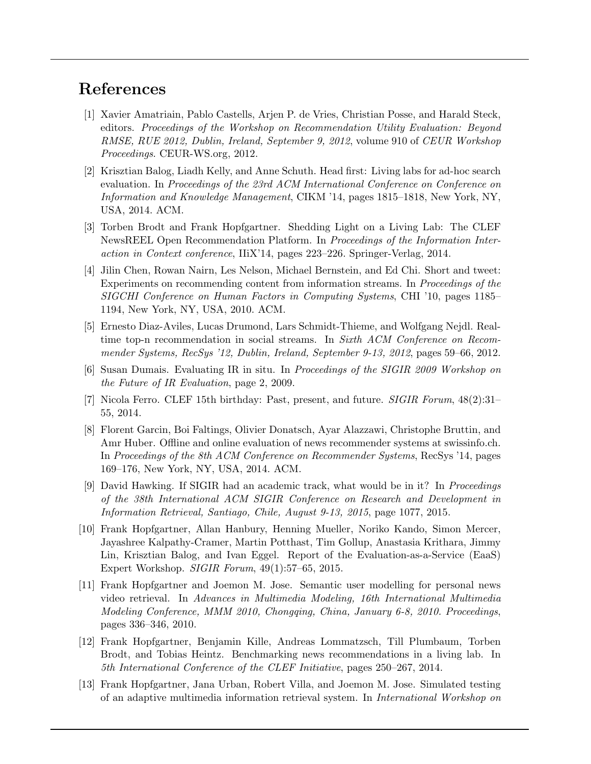## References

- [1] Xavier Amatriain, Pablo Castells, Arjen P. de Vries, Christian Posse, and Harald Steck, editors. Proceedings of the Workshop on Recommendation Utility Evaluation: Beyond RMSE, RUE 2012, Dublin, Ireland, September 9, 2012, volume 910 of CEUR Workshop Proceedings. CEUR-WS.org, 2012.
- [2] Krisztian Balog, Liadh Kelly, and Anne Schuth. Head first: Living labs for ad-hoc search evaluation. In Proceedings of the 23rd ACM International Conference on Conference on Information and Knowledge Management, CIKM '14, pages 1815–1818, New York, NY, USA, 2014. ACM.
- [3] Torben Brodt and Frank Hopfgartner. Shedding Light on a Living Lab: The CLEF NewsREEL Open Recommendation Platform. In Proceedings of the Information Interaction in Context conference, IIiX'14, pages 223–226. Springer-Verlag, 2014.
- [4] Jilin Chen, Rowan Nairn, Les Nelson, Michael Bernstein, and Ed Chi. Short and tweet: Experiments on recommending content from information streams. In Proceedings of the SIGCHI Conference on Human Factors in Computing Systems, CHI '10, pages 1185– 1194, New York, NY, USA, 2010. ACM.
- [5] Ernesto Diaz-Aviles, Lucas Drumond, Lars Schmidt-Thieme, and Wolfgang Nejdl. Realtime top-n recommendation in social streams. In Sixth ACM Conference on Recommender Systems, RecSys '12, Dublin, Ireland, September 9-13, 2012, pages 59–66, 2012.
- [6] Susan Dumais. Evaluating IR in situ. In Proceedings of the SIGIR 2009 Workshop on the Future of IR Evaluation, page 2, 2009.
- [7] Nicola Ferro. CLEF 15th birthday: Past, present, and future. SIGIR Forum, 48(2):31– 55, 2014.
- [8] Florent Garcin, Boi Faltings, Olivier Donatsch, Ayar Alazzawi, Christophe Bruttin, and Amr Huber. Offline and online evaluation of news recommender systems at swissinfo.ch. In Proceedings of the 8th ACM Conference on Recommender Systems, RecSys '14, pages 169–176, New York, NY, USA, 2014. ACM.
- [9] David Hawking. If SIGIR had an academic track, what would be in it? In Proceedings of the 38th International ACM SIGIR Conference on Research and Development in Information Retrieval, Santiago, Chile, August 9-13, 2015, page 1077, 2015.
- [10] Frank Hopfgartner, Allan Hanbury, Henning Mueller, Noriko Kando, Simon Mercer, Jayashree Kalpathy-Cramer, Martin Potthast, Tim Gollup, Anastasia Krithara, Jimmy Lin, Krisztian Balog, and Ivan Eggel. Report of the Evaluation-as-a-Service (EaaS) Expert Workshop. SIGIR Forum, 49(1):57–65, 2015.
- [11] Frank Hopfgartner and Joemon M. Jose. Semantic user modelling for personal news video retrieval. In Advances in Multimedia Modeling, 16th International Multimedia Modeling Conference, MMM 2010, Chongqing, China, January 6-8, 2010. Proceedings, pages 336–346, 2010.
- [12] Frank Hopfgartner, Benjamin Kille, Andreas Lommatzsch, Till Plumbaum, Torben Brodt, and Tobias Heintz. Benchmarking news recommendations in a living lab. In 5th International Conference of the CLEF Initiative, pages 250–267, 2014.
- [13] Frank Hopfgartner, Jana Urban, Robert Villa, and Joemon M. Jose. Simulated testing of an adaptive multimedia information retrieval system. In International Workshop on